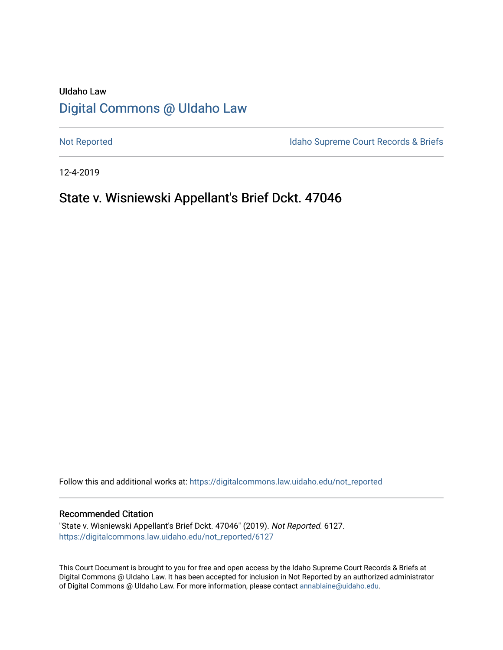# UIdaho Law [Digital Commons @ UIdaho Law](https://digitalcommons.law.uidaho.edu/)

[Not Reported](https://digitalcommons.law.uidaho.edu/not_reported) **Idaho Supreme Court Records & Briefs** 

12-4-2019

# State v. Wisniewski Appellant's Brief Dckt. 47046

Follow this and additional works at: [https://digitalcommons.law.uidaho.edu/not\\_reported](https://digitalcommons.law.uidaho.edu/not_reported?utm_source=digitalcommons.law.uidaho.edu%2Fnot_reported%2F6127&utm_medium=PDF&utm_campaign=PDFCoverPages) 

### Recommended Citation

"State v. Wisniewski Appellant's Brief Dckt. 47046" (2019). Not Reported. 6127. [https://digitalcommons.law.uidaho.edu/not\\_reported/6127](https://digitalcommons.law.uidaho.edu/not_reported/6127?utm_source=digitalcommons.law.uidaho.edu%2Fnot_reported%2F6127&utm_medium=PDF&utm_campaign=PDFCoverPages)

This Court Document is brought to you for free and open access by the Idaho Supreme Court Records & Briefs at Digital Commons @ UIdaho Law. It has been accepted for inclusion in Not Reported by an authorized administrator of Digital Commons @ UIdaho Law. For more information, please contact [annablaine@uidaho.edu](mailto:annablaine@uidaho.edu).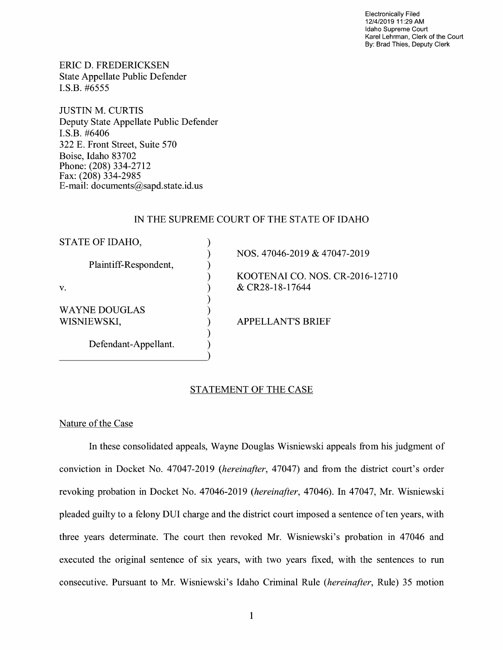Electronically Filed 12/4/2019 11 :29 AM Idaho Supreme Court Karel Lehrman, Clerk of the Court By: Brad Thies, Deputy Clerk

ERIC D. FREDERICKSEN State Appellate Public Defender I.S.B. #6555

JUSTIN M. CURTIS Deputy State Appellate Public Defender I.S.B. #6406 322 E. Front Street, Suite 570 Boise, Idaho 83702 Phone: (208) 334-2712 Fax: (208) 334-2985 E-mail: documents@sapd.state.id. us

## IN THE SUPREME COURT OF THE STATE OF IDAHO

| STATE OF IDAHO,       |                                 |
|-----------------------|---------------------------------|
|                       | NOS. 47046-2019 & 47047-2019    |
| Plaintiff-Respondent, |                                 |
|                       | KOOTENAI CO. NOS. CR-2016-12710 |
| V.                    | & CR28-18-17644                 |
|                       |                                 |
| WAYNE DOUGLAS         |                                 |
| WISNIEWSKI,           | <b>APPELLANT'S BRIEF</b>        |
|                       |                                 |
| Defendant-Appellant.  |                                 |
|                       |                                 |

## STATEMENT OF THE CASE

## Nature of the Case

In these consolidated appeals, Wayne Douglas Wisniewski appeals from his judgment of conviction in Docket No. 47047-2019 *(hereinafter,* 47047) and from the district court's order revoking probation in Docket No. 47046-2019 *(hereinafter,* 47046). In 47047, Mr. Wisniewski pleaded guilty to a felony DUI charge and the district court imposed a sentence often years, with three years determinate. The court then revoked Mr. Wisniewski's probation in 47046 and executed the original sentence of six years, with two years fixed, with the sentences to run consecutive. Pursuant to Mr. Wisniewski's Idaho Criminal Rule *(hereinafter,* Rule) 35 motion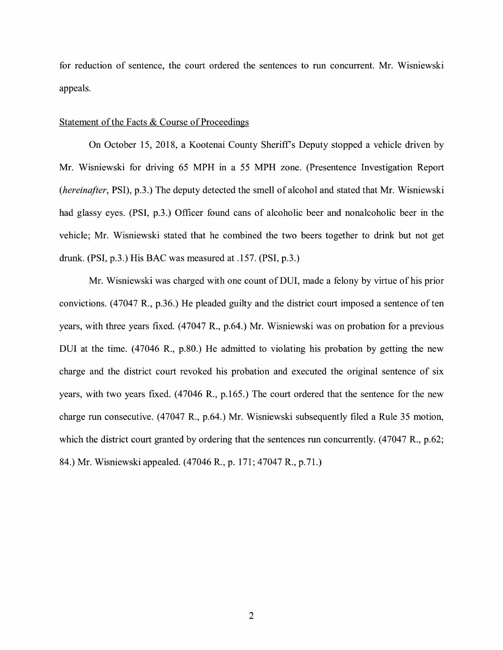for reduction of sentence, the court ordered the sentences to run concurrent. Mr. Wisniewski appeals.

#### Statement of the Facts & Course of Proceedings

On October 15, 2018, a Kootenai County Sheriff's Deputy stopped a vehicle driven by Mr. Wisniewski for driving 65 MPH in a 55 MPH zone. (Presentence Investigation Report *(hereinafter,* PSI), p.3.) The deputy detected the smell of alcohol and stated that Mr. Wisniewski had glassy eyes. (PSI, p.3.) Officer found cans of alcoholic beer and nonalcoholic beer in the vehicle; Mr. Wisniewski stated that he combined the two beers together to drink but not get drunk. (PSI, p.3.) His BAC was measured at .157. (PSI, p.3.)

Mr. Wisniewski was charged with one count of DUI, made a felony by virtue of his prior convictions. (47047 R., p.36.) He pleaded guilty and the district court imposed a sentence of ten years, with three years fixed. (47047 R., p.64.) Mr. Wisniewski was on probation for a previous DUI at the time. (47046 R., p.80.) He admitted to violating his probation by getting the new charge and the district court revoked his probation and executed the original sentence of six years, with two years fixed. (47046 R., p.165.) The court ordered that the sentence for the new charge run consecutive. (47047 R., p.64.) Mr. Wisniewski subsequently filed a Rule 35 motion, which the district court granted by ordering that the sentences run concurrently. (47047 R., p.62; 84.) Mr. Wisniewski appealed. (47046 R., p. 171; 47047 R., p.71.)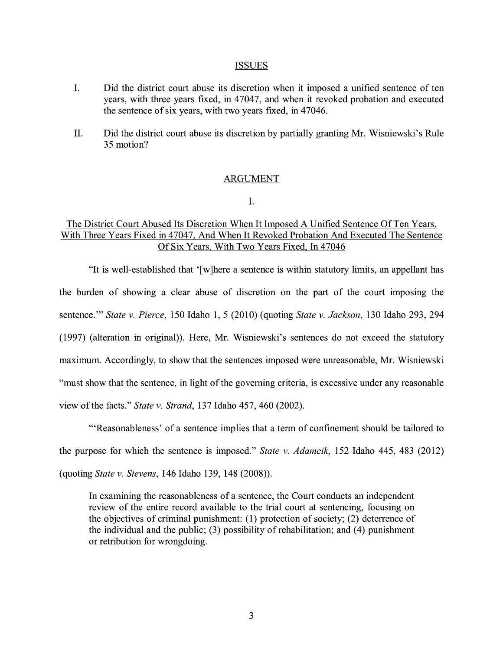#### ISSUES

- I. Did the district court abuse its discretion when it imposed a unified sentence of ten years, with three years fixed, in 47047, and when it revoked probation and executed the sentence of six years, with two years fixed, in 47046.
- II. Did the district court abuse its discretion by partially granting Mr. Wisniewski's Rule 35 motion?

### ARGUMENT

I.

## The District Court Abused Its Discretion When It Imposed A Unified Sentence Of Ten Years, With Three Years Fixed in 47047, And When It Revoked Probation And Executed The Sentence Of Six Years, With Two Years Fixed, In 47046

"It is well-established that ' [ w ]here a sentence is within statutory limits, an appellant has the burden of showing a clear abuse of discretion on the part of the court imposing the sentence."' *State v. Pierce,* 150 Idaho 1, 5 (2010) (quoting *State v. Jackson,* 130 Idaho 293, 294 (1997) (alteration in original)). Here, Mr. Wisniewski's sentences do not exceed the statutory maximum. Accordingly, to show that the sentences imposed were unreasonable, Mr. Wisniewski "must show that the sentence, in light of the governing criteria, is excessive under any reasonable view of the facts." *State v. Strand,* 137 Idaho 457, 460 (2002).

"'Reasonableness' of a sentence implies that a term of confinement should be tailored to the purpose for which the sentence is imposed." *State v. Adamcik,* 152 Idaho 445, 483 (2012) (quoting *State v. Stevens,* 146 Idaho 139, 148 (2008)).

In examining the reasonableness of a sentence, the Court conducts an independent review of the entire record available to the trial court at sentencing, focusing on the objectives of criminal punishment: (1) protection of society; (2) deterrence of the individual and the public;  $(3)$  possibility of rehabilitation; and  $(4)$  punishment or retribution for wrongdoing.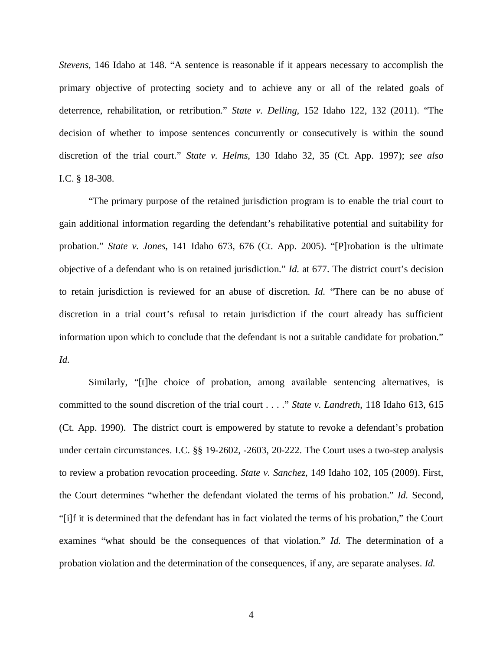*Stevens*, 146 Idaho at 148. "A sentence is reasonable if it appears necessary to accomplish the primary objective of protecting society and to achieve any or all of the related goals of deterrence, rehabilitation, or retribution." *State v. Delling*, 152 Idaho 122, 132 (2011). "The decision of whether to impose sentences concurrently or consecutively is within the sound discretion of the trial court." *State v. Helms*, 130 Idaho 32, 35 (Ct. App. 1997); *see also* I.C. § 18-308.

"The primary purpose of the retained jurisdiction program is to enable the trial court to gain additional information regarding the defendant's rehabilitative potential and suitability for probation." *State v. Jones*, 141 Idaho 673, 676 (Ct. App. 2005). "[P]robation is the ultimate objective of a defendant who is on retained jurisdiction." *Id.* at 677. The district court's decision to retain jurisdiction is reviewed for an abuse of discretion. *Id.* "There can be no abuse of discretion in a trial court's refusal to retain jurisdiction if the court already has sufficient information upon which to conclude that the defendant is not a suitable candidate for probation." *Id.*

Similarly, "[t]he choice of probation, among available sentencing alternatives, is committed to the sound discretion of the trial court . . . ." *State v. Landreth*, 118 Idaho 613, 615 (Ct. App. 1990). The district court is empowered by statute to revoke a defendant's probation under certain circumstances. I.C. §§ 19-2602, -2603, 20-222. The Court uses a two-step analysis to review a probation revocation proceeding. *State v. Sanchez*, 149 Idaho 102, 105 (2009). First, the Court determines "whether the defendant violated the terms of his probation." *Id.* Second, "[i]f it is determined that the defendant has in fact violated the terms of his probation," the Court examines "what should be the consequences of that violation." *Id.* The determination of a probation violation and the determination of the consequences, if any, are separate analyses. *Id.*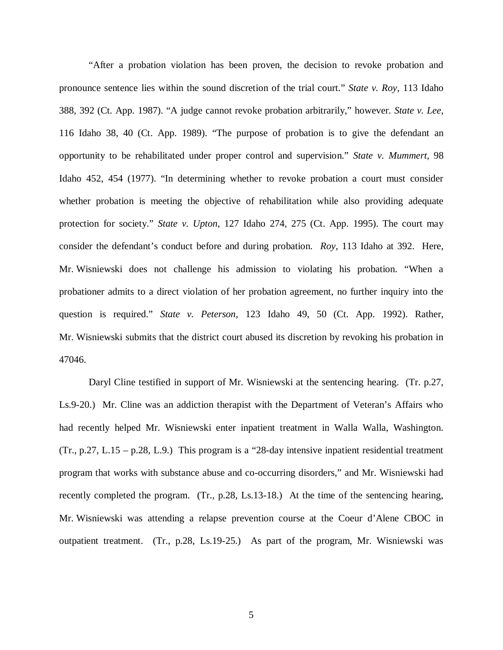"After a probation violation has been proven, the decision to revoke probation and pronounce sentence lies within the sound discretion of the trial court." *State v. Roy*, 113 Idaho 388, 392 (Ct. App. 1987). "A judge cannot revoke probation arbitrarily," however. *State v. Lee*, 116 Idaho 38, 40 (Ct. App. 1989). "The purpose of probation is to give the defendant an opportunity to be rehabilitated under proper control and supervision." *State v. Mummert*, 98 Idaho 452, 454 (1977). "In determining whether to revoke probation a court must consider whether probation is meeting the objective of rehabilitation while also providing adequate protection for society." *State v. Upton*, 127 Idaho 274, 275 (Ct. App. 1995). The court may consider the defendant's conduct before and during probation. *Roy*, 113 Idaho at 392. Here, Mr. Wisniewski does not challenge his admission to violating his probation. "When a probationer admits to a direct violation of her probation agreement, no further inquiry into the question is required." *State v. Peterson*, 123 Idaho 49, 50 (Ct. App. 1992). Rather, Mr. Wisniewski submits that the district court abused its discretion by revoking his probation in 47046.

Daryl Cline testified in support of Mr. Wisniewski at the sentencing hearing. (Tr. p.27, Ls.9-20.) Mr. Cline was an addiction therapist with the Department of Veteran's Affairs who had recently helped Mr. Wisniewski enter inpatient treatment in Walla Walla, Washington. (Tr., p.27, L.15 – p.28, L.9.) This program is a "28-day intensive inpatient residential treatment program that works with substance abuse and co-occurring disorders," and Mr. Wisniewski had recently completed the program. (Tr., p.28, Ls.13-18.) At the time of the sentencing hearing, Mr. Wisniewski was attending a relapse prevention course at the Coeur d'Alene CBOC in outpatient treatment. (Tr., p.28, Ls.19-25.) As part of the program, Mr. Wisniewski was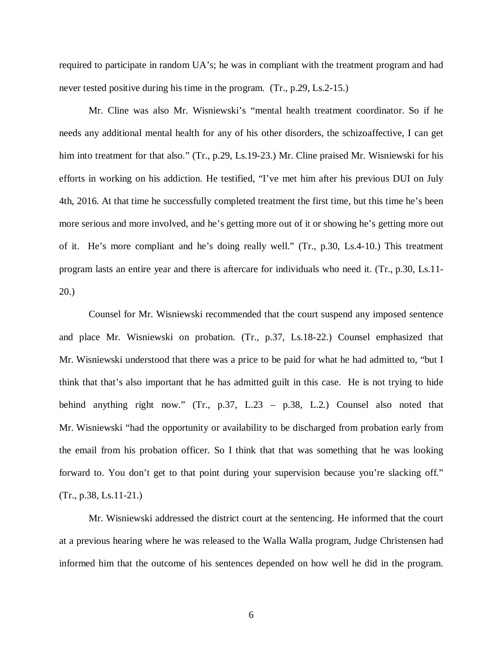required to participate in random UA's; he was in compliant with the treatment program and had never tested positive during his time in the program. (Tr., p.29, Ls.2-15.)

Mr. Cline was also Mr. Wisniewski's "mental health treatment coordinator. So if he needs any additional mental health for any of his other disorders, the schizoaffective, I can get him into treatment for that also." (Tr., p.29, Ls.19-23.) Mr. Cline praised Mr. Wisniewski for his efforts in working on his addiction. He testified, "I've met him after his previous DUI on July 4th, 2016. At that time he successfully completed treatment the first time, but this time he's been more serious and more involved, and he's getting more out of it or showing he's getting more out of it. He's more compliant and he's doing really well." (Tr., p.30, Ls.4-10.) This treatment program lasts an entire year and there is aftercare for individuals who need it. (Tr., p.30, Ls.11- 20.)

Counsel for Mr. Wisniewski recommended that the court suspend any imposed sentence and place Mr. Wisniewski on probation. (Tr., p.37, Ls.18-22.) Counsel emphasized that Mr. Wisniewski understood that there was a price to be paid for what he had admitted to, "but I think that that's also important that he has admitted guilt in this case. He is not trying to hide behind anything right now." (Tr., p.37, L.23 – p.38, L.2.) Counsel also noted that Mr. Wisniewski "had the opportunity or availability to be discharged from probation early from the email from his probation officer. So I think that that was something that he was looking forward to. You don't get to that point during your supervision because you're slacking off." (Tr., p.38, Ls.11-21.)

Mr. Wisniewski addressed the district court at the sentencing. He informed that the court at a previous hearing where he was released to the Walla Walla program, Judge Christensen had informed him that the outcome of his sentences depended on how well he did in the program.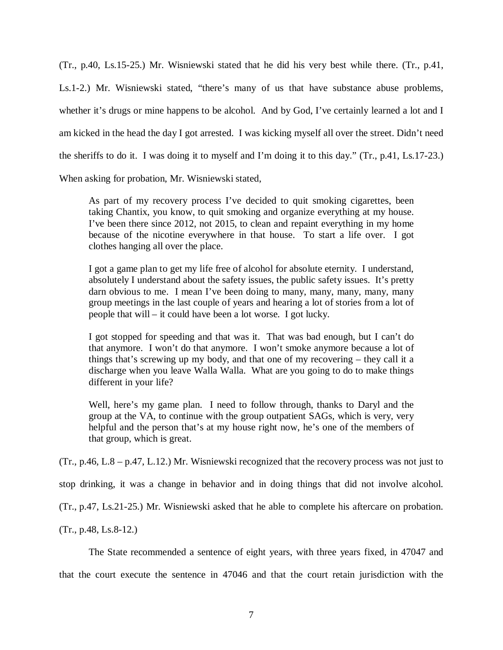(Tr., p.40, Ls.15-25.) Mr. Wisniewski stated that he did his very best while there. (Tr., p.41, Ls.1-2.) Mr. Wisniewski stated, "there's many of us that have substance abuse problems, whether it's drugs or mine happens to be alcohol. And by God, I've certainly learned a lot and I am kicked in the head the day I got arrested. I was kicking myself all over the street. Didn't need the sheriffs to do it. I was doing it to myself and I'm doing it to this day." (Tr., p.41, Ls.17-23.)

When asking for probation, Mr. Wisniewski stated,

As part of my recovery process I've decided to quit smoking cigarettes, been taking Chantix, you know, to quit smoking and organize everything at my house. I've been there since 2012, not 2015, to clean and repaint everything in my home because of the nicotine everywhere in that house. To start a life over. I got clothes hanging all over the place.

I got a game plan to get my life free of alcohol for absolute eternity. I understand, absolutely I understand about the safety issues, the public safety issues. It's pretty darn obvious to me. I mean I've been doing to many, many, many, many, many group meetings in the last couple of years and hearing a lot of stories from a lot of people that will – it could have been a lot worse. I got lucky.

I got stopped for speeding and that was it. That was bad enough, but I can't do that anymore. I won't do that anymore. I won't smoke anymore because a lot of things that's screwing up my body, and that one of my recovering – they call it a discharge when you leave Walla Walla. What are you going to do to make things different in your life?

Well, here's my game plan. I need to follow through, thanks to Daryl and the group at the VA, to continue with the group outpatient SAGs, which is very, very helpful and the person that's at my house right now, he's one of the members of that group, which is great.

(Tr., p.46, L.8 – p.47, L.12.) Mr. Wisniewski recognized that the recovery process was not just to

stop drinking, it was a change in behavior and in doing things that did not involve alcohol.

(Tr., p.47, Ls.21-25.) Mr. Wisniewski asked that he able to complete his aftercare on probation.

(Tr., p.48, Ls.8-12.)

The State recommended a sentence of eight years, with three years fixed, in 47047 and

that the court execute the sentence in 47046 and that the court retain jurisdiction with the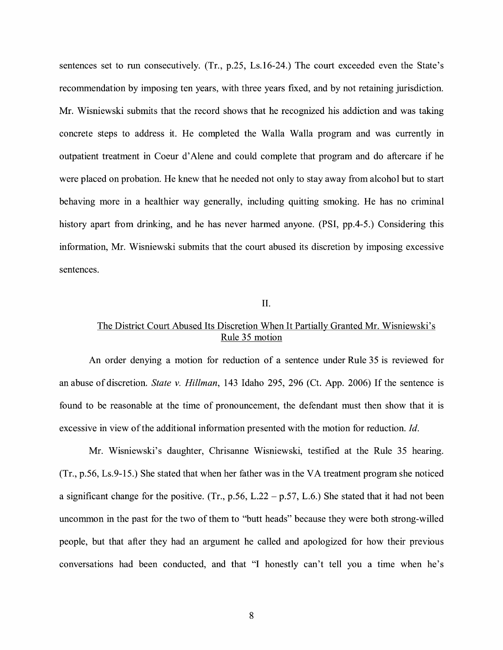sentences set to run consecutively. (Tr., p.25, Ls.16-24.) The court exceeded even the State's recommendation by imposing ten years, with three years fixed, and by not retaining jurisdiction. Mr. Wisniewski submits that the record shows that he recognized his addiction and was taking concrete steps to address it. He completed the Walla Walla program and was currently in outpatient treatment in Coeur d'Alene and could complete that program and do aftercare if he were placed on probation. He knew that he needed not only to stay away from alcohol but to start behaving more in a healthier way generally, including quitting smoking. He has no criminal history apart from drinking, and he has never harmed anyone. (PSI, pp.4-5.) Considering this information, Mr. Wisniewski submits that the court abused its discretion by imposing excessive sentences.

## II.

# The District Court Abused Its Discretion When It Partially Granted Mr. Wisniewski's Rule 35 motion

An order denying a motion for reduction of a sentence under Rule 35 is reviewed for an abuse of discretion. *State v. Hillman,* 143 Idaho 295, 296 (Ct. App. 2006) If the sentence is found to be reasonable at the time of pronouncement, the defendant must then show that it is excessive in view of the additional information presented with the motion for reduction. *Id*.

Mr. Wisniewski's daughter, Chrisanne Wisniewski, testified at the Rule 35 hearing. (Tr., p.56, Ls.9-15.) She stated that when her father was in the VA treatment program she noticed a significant change for the positive. (Tr., p.56, L.22 – p.57, L.6.) She stated that it had not been uncommon in the past for the two of them to "butt heads" because they were both strong-willed people, but that after they had an argument he called and apologized for how their previous conversations had been conducted, and that "I honestly can't tell you a time when he's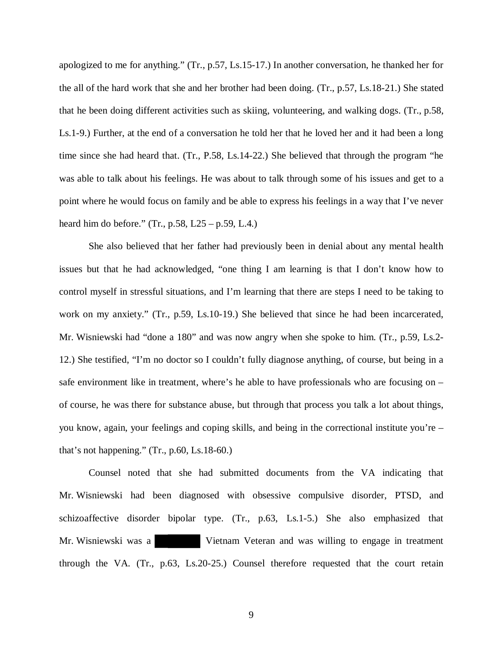apologized to me for anything." (Tr., p.57, Ls.15-17.) In another conversation, he thanked her for the all of the hard work that she and her brother had been doing. (Tr., p.57, Ls.18-21.) She stated that he been doing different activities such as skiing, volunteering, and walking dogs. (Tr., p.58, Ls.1-9.) Further, at the end of a conversation he told her that he loved her and it had been a long time since she had heard that. (Tr., P.58, Ls.14-22.) She believed that through the program "he was able to talk about his feelings. He was about to talk through some of his issues and get to a point where he would focus on family and be able to express his feelings in a way that I've never heard him do before." (Tr., p.58, L25 – p.59, L.4.)

She also believed that her father had previously been in denial about any mental health issues but that he had acknowledged, "one thing I am learning is that I don't know how to control myself in stressful situations, and I'm learning that there are steps I need to be taking to work on my anxiety." (Tr., p.59, Ls.10-19.) She believed that since he had been incarcerated, Mr. Wisniewski had "done a 180" and was now angry when she spoke to him. (Tr., p.59, Ls.2- 12.) She testified, "I'm no doctor so I couldn't fully diagnose anything, of course, but being in a safe environment like in treatment, where's he able to have professionals who are focusing on – of course, he was there for substance abuse, but through that process you talk a lot about things, you know, again, your feelings and coping skills, and being in the correctional institute you're – that's not happening." (Tr., p.60, Ls.18-60.)

Counsel noted that she had submitted documents from the VA indicating that Mr. Wisniewski had been diagnosed with obsessive compulsive disorder, PTSD, and schizoaffective disorder bipolar type. (Tr., p.63, Ls.1-5.) She also emphasized that Mr. Wisniewski was a Vietnam Veteran and was willing to engage in treatment through the VA. (Tr., p.63, Ls.20-25.) Counsel therefore requested that the court retain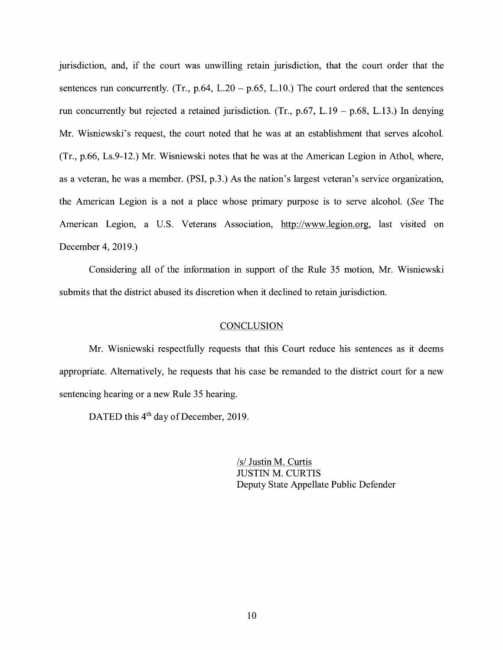jurisdiction, and, if the court was unwilling retain jurisdiction, that the court order that the sentences run concurrently. (Tr.,  $p.64$ ,  $L.20 - p.65$ ,  $L.10$ .) The court ordered that the sentences run concurrently but rejected a retained jurisdiction. (Tr.,  $p.67$ , L.19 –  $p.68$ , L.13.) In denying Mr. Wisniewski's request, the court noted that he was at an establishment that serves alcohol. (Tr., p.66, Ls.9-12.) Mr. Wisniewski notes that he was at the American Legion in Athol, where, as a veteran, he was a member. **(PSI,** p.3.) As the nation's largest veteran's service organization, the American Legion is a not a place whose primary purpose is to serve alcohol. *(See* The American Legion, a U.S. Veterans Association, http://www.legion.org, last visited on December 4, 2019.)

Considering all of the information in support of the Rule 35 motion, Mr. Wisniewski submits that the district abused its discretion when it declined to retain jurisdiction.

#### **CONCLUSION**

Mr. Wisniewski respectfully requests that this Court reduce his sentences as it deems appropriate. Alternatively, he requests that his case be remanded to the district court for a new sentencing hearing or a new Rule 35 hearing.

DATED this 4<sup>th</sup> day of December, 2019.

*Isl* Justin M. Curtis JUSTIN M. CURTIS Deputy State Appellate Public Defender